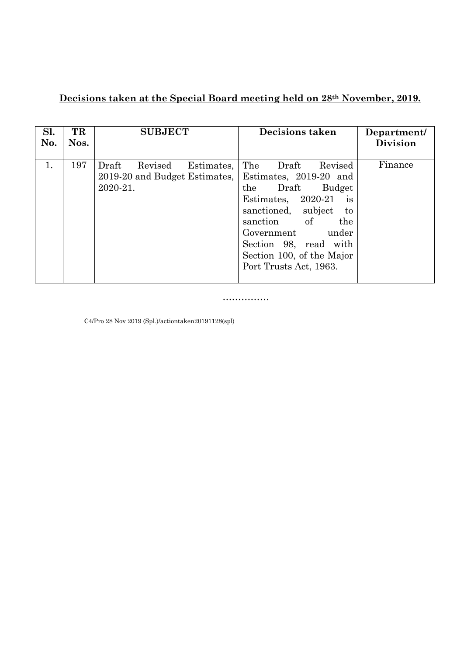## **Decisions taken at the Special Board meeting held on 28th November, 2019.**

| Sl.<br>No. | TR<br>Nos. | <b>SUBJECT</b>                                                              | <b>Decisions taken</b>                                                                                                                                                                                                                                                            | Department/<br><b>Division</b> |
|------------|------------|-----------------------------------------------------------------------------|-----------------------------------------------------------------------------------------------------------------------------------------------------------------------------------------------------------------------------------------------------------------------------------|--------------------------------|
| 1.         | 197        | Draft<br>Revised<br>Estimates,<br>2019-20 and Budget Estimates,<br>2020-21. | The<br>Draft<br>Revised<br>Estimates, 2019-20 and<br>Draft<br>the<br><b>Budget</b><br>Estimates, $2020-21$<br><i>is</i><br>sanctioned, subject<br>to<br>sanction of<br>the<br>Government<br>under<br>Section 98, read with<br>Section 100, of the Major<br>Port Trusts Act, 1963. | Finance                        |

……………

C4/Pro 28 Nov 2019 (Spl.)/actiontaken20191128(spl)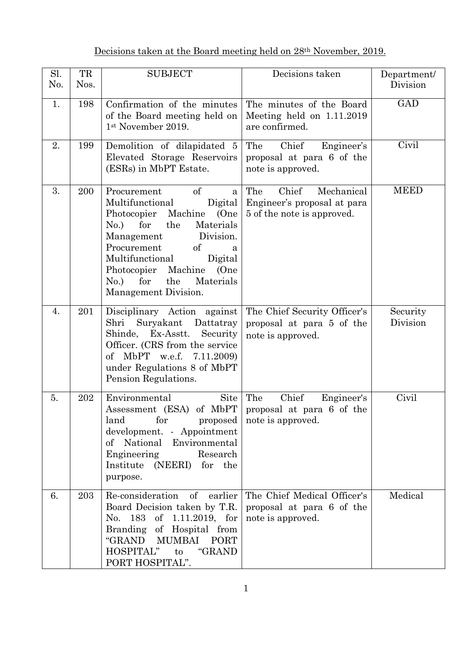## Decisions taken at the Board meeting held on 28<sup>th</sup> November, 2019.

| Sl.<br>No. | TR<br>Nos. | <b>SUBJECT</b>                                                                                                                                                                                                                                                                                                  | Decisions taken                                                                         | Department/<br>Division |
|------------|------------|-----------------------------------------------------------------------------------------------------------------------------------------------------------------------------------------------------------------------------------------------------------------------------------------------------------------|-----------------------------------------------------------------------------------------|-------------------------|
| 1.         | 198        | Confirmation of the minutes<br>of the Board meeting held on<br>1st November 2019.                                                                                                                                                                                                                               | The minutes of the Board<br>Meeting held on 1.11.2019<br>are confirmed.                 | <b>GAD</b>              |
| 2.         | 199        | Demolition of dilapidated 5<br>Elevated Storage Reservoirs<br>(ESRs) in MbPT Estate.                                                                                                                                                                                                                            | Chief<br>Engineer's<br>The<br>proposal at para 6 of the<br>note is approved.            | Civil                   |
| 3.         | 200        | <sub>of</sub><br>Procurement<br>a<br>Multifunctional<br>Digital<br>Photocopier Machine<br>(One)<br>for<br>Materials<br>No.)<br>the<br>Division.<br>Management<br>Procurement<br>of<br>a<br>Multifunctional<br>Digital<br>Photocopier Machine<br>(One<br>for<br>the<br>Materials<br>No.)<br>Management Division. | The<br>Chief<br>Mechanical<br>Engineer's proposal at para<br>5 of the note is approved. | <b>MEED</b>             |
| 4.         | 201        | Disciplinary Action against<br>Suryakant Dattatray<br>Shri<br>Shinde, Ex-Asstt. Security<br>Officer. (CRS from the service<br>of MbPT w.e.f. 7.11.2009)<br>under Regulations 8 of MbPT<br>Pension Regulations.                                                                                                  | The Chief Security Officer's<br>proposal at para 5 of the<br>note is approved.          | Security<br>Division    |
| 5.         | 202        | Environmental<br>Site<br>Assessment (ESA) of MbPT   proposal at para 6 of the<br>land<br>for<br>proposed<br>development. - Appointment<br>of National Environmental<br>Research<br>Engineering<br>Institute (NEERI) for the<br>purpose.                                                                         | The<br>Chief<br>Engineer's<br>note is approved.                                         | Civil                   |
| 6.         | 203        | Re-consideration of<br>earlier<br>Board Decision taken by T.R.<br>183<br>of 1.11.2019, for<br>No.<br>Branding of Hospital from<br>"GRAND MUMBAI PORT<br>"GRAND<br>HOSPITAL"<br>to<br>PORT HOSPITAL".                                                                                                            | The Chief Medical Officer's<br>proposal at para 6 of the<br>note is approved.           | Medical                 |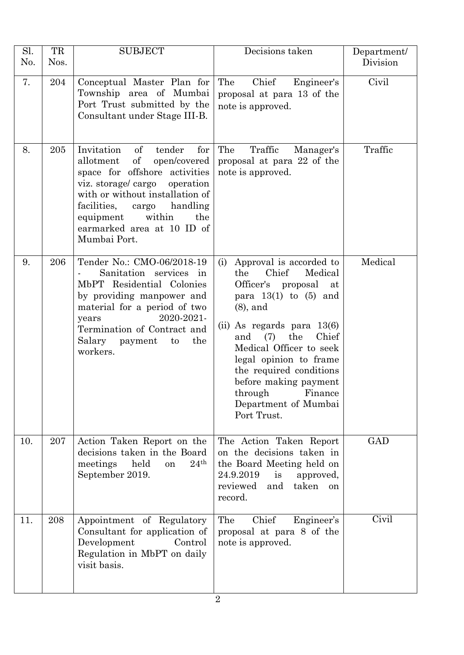| Sl.<br>No. | TR<br>Nos. | <b>SUBJECT</b>                                                                                                                                                                                                                                                                                              | Decisions taken                                                                                                                                                                                                                                                                                                                                                         | Department/<br>Division |
|------------|------------|-------------------------------------------------------------------------------------------------------------------------------------------------------------------------------------------------------------------------------------------------------------------------------------------------------------|-------------------------------------------------------------------------------------------------------------------------------------------------------------------------------------------------------------------------------------------------------------------------------------------------------------------------------------------------------------------------|-------------------------|
| 7.         | 204        | Conceptual Master Plan for<br>Township area of Mumbai<br>Port Trust submitted by the<br>Consultant under Stage III-B.                                                                                                                                                                                       | Chief<br>Engineer's<br>The<br>proposal at para 13 of the<br>note is approved.                                                                                                                                                                                                                                                                                           | Civil                   |
| 8.         | 205        | Invitation<br>$\sigma f$<br>tender<br>${\rm for}$<br>of<br>open/covered<br>allotment<br>space for offshore activities<br>viz. storage/cargo<br>operation<br>with or without installation of<br>facilities,<br>handling<br>cargo<br>within<br>equipment<br>the<br>earmarked area at 10 ID of<br>Mumbai Port. | The<br>Traffic<br>Manager's<br>proposal at para 22 of the<br>note is approved.                                                                                                                                                                                                                                                                                          | Traffic                 |
| 9.         | 206        | Tender No.: CMO-06/2018-19<br>Sanitation services in<br>MbPT Residential Colonies<br>by providing manpower and<br>material for a period of two<br>2020-2021-<br>years<br>Termination of Contract and<br>Salary<br>the<br>payment<br>to<br>workers.                                                          | Approval is accorded to<br>(i)<br>Chief<br>the<br>Medical<br>Officer's proposal<br>at<br>para $13(1)$ to $(5)$ and<br>$(8)$ , and<br>$(ii)$ As regards para $13(6)$<br>the<br>Chief<br>(7)<br>and<br>Medical Officer to seek<br>legal opinion to frame<br>the required conditions<br>before making payment<br>through<br>Finance<br>Department of Mumbai<br>Port Trust. | Medical                 |
| 10.        | 207        | Action Taken Report on the<br>decisions taken in the Board<br>24 <sup>th</sup><br>held<br>meetings<br>on<br>September 2019.                                                                                                                                                                                 | The Action Taken Report<br>on the decisions taken in<br>the Board Meeting held on<br>24.9.2019<br>is<br>approved,<br>taken<br>reviewed<br>and<br><sub>on</sub><br>record.                                                                                                                                                                                               | <b>GAD</b>              |
| 11.        | 208        | Appointment of Regulatory<br>Consultant for application of<br>Development<br>Control<br>Regulation in MbPT on daily<br>visit basis.                                                                                                                                                                         | Chief<br>Engineer's<br>The<br>proposal at para 8 of the<br>note is approved.                                                                                                                                                                                                                                                                                            | Civil                   |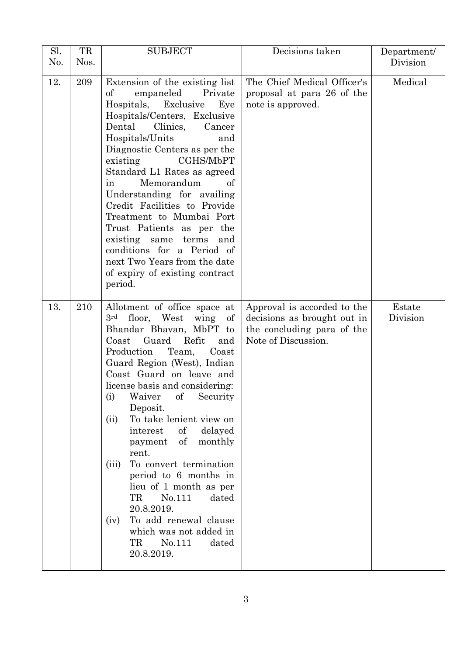| Sl.<br>No. | TR<br>Nos. | <b>SUBJECT</b>                                                                                                                                                                                                                                                                                                                                                                                                                                                                                                                                                                                                                                                       | Decisions taken                                                                                                 | Department/<br>Division |
|------------|------------|----------------------------------------------------------------------------------------------------------------------------------------------------------------------------------------------------------------------------------------------------------------------------------------------------------------------------------------------------------------------------------------------------------------------------------------------------------------------------------------------------------------------------------------------------------------------------------------------------------------------------------------------------------------------|-----------------------------------------------------------------------------------------------------------------|-------------------------|
| 12.        | 209        | Extension of the existing list<br>$\sigma f$<br>empaneled<br>Private<br>Hospitals, Exclusive<br>Eye<br>Hospitals/Centers, Exclusive<br>Clinics,<br>Dental<br>Cancer<br>Hospitals/Units<br>and<br>Diagnostic Centers as per the<br>CGHS/MbPT<br>existing<br>Standard L1 Rates as agreed<br>Memorandum<br>of<br>in<br>Understanding for availing<br>Credit Facilities to Provide<br>Treatment to Mumbai Port<br>Trust Patients as per the<br>existing same terms<br>and<br>conditions for a Period of<br>next Two Years from the date<br>of expiry of existing contract<br>period.                                                                                     | The Chief Medical Officer's<br>proposal at para 26 of the<br>note is approved.                                  | Medical                 |
| 13.        | 210        | Allotment of office space at<br>$3^{\rm rd}$<br>floor, West wing<br>of<br>Bhandar Bhavan, MbPT to<br>Guard<br>Refit<br>$\text{Coast}$<br>and<br>Team,<br>Production<br>Coast<br>Guard Region (West), Indian<br>Coast Guard on leave and<br>license basis and considering:<br>(i)<br>of<br>Security<br>Waiver<br>Deposit.<br>To take lenient view on<br>(ii)<br>$\sigma f$<br>delayed<br>interest<br>of<br>monthly<br>payment<br>rent.<br>To convert termination<br>(iii)<br>period to 6 months in<br>lieu of 1 month as per<br>TR<br>No.111<br>dated<br>20.8.2019.<br>To add renewal clause<br>(iv)<br>which was not added in<br>TR<br>No.111<br>dated<br>20.8.2019. | Approval is accorded to the<br>decisions as brought out in<br>the concluding para of the<br>Note of Discussion. | Estate<br>Division      |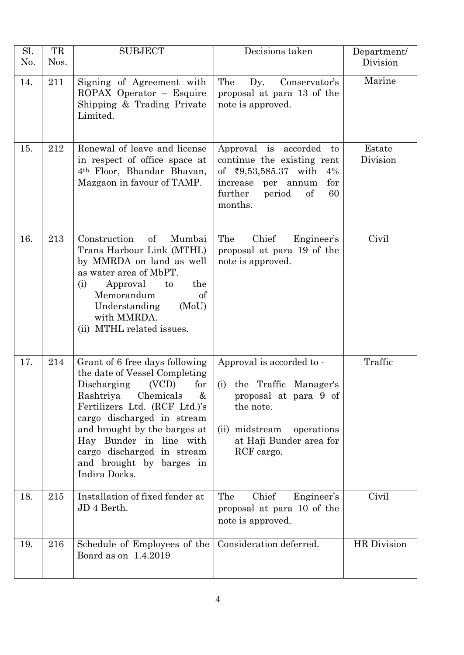| Sl.<br>No. | TR<br>Nos. | <b>SUBJECT</b>                                                                                                                                                                                                                                                                                                                     | Decisions taken                                                                                                                                                         | Department/<br>Division |
|------------|------------|------------------------------------------------------------------------------------------------------------------------------------------------------------------------------------------------------------------------------------------------------------------------------------------------------------------------------------|-------------------------------------------------------------------------------------------------------------------------------------------------------------------------|-------------------------|
| 14.        | 211        | Signing of Agreement with<br>ROPAX Operator - Esquire<br>Shipping & Trading Private<br>Limited.                                                                                                                                                                                                                                    | The<br>$\mathbf{D}\mathbf{y}$ .<br>Conservator's<br>proposal at para 13 of the<br>note is approved.                                                                     | Marine                  |
| 15.        | 212        | Renewal of leave and license<br>in respect of office space at<br>4 <sup>th</sup> Floor, Bhandar Bhavan,<br>Mazgaon in favour of TAMP.                                                                                                                                                                                              | Approval is accorded<br>to<br>continue the existing rent<br>of $\bar{x}9,53,585.37$ with<br>4%<br>for<br>increase per annum<br>further<br>of<br>60<br>period<br>months. | Estate<br>Division      |
| 16.        | 213        | of<br>Mumbai<br>Construction<br>Trans Harbour Link (MTHL)<br>by MMRDA on land as well<br>as water area of MbPT.<br>Approval<br>(i)<br>to<br>the<br>Memorandum<br>of<br>Understanding<br>(MoU)<br>with MMRDA.<br>(ii) MTHL related issues.                                                                                          | Chief<br>The<br>Engineer's<br>proposal at para 19 of the<br>note is approved.                                                                                           | Civil                   |
| 17.        | 214        | Grant of 6 free days following<br>the date of Vessel Completing<br>Discharging<br>(VCD)<br>for<br>Rashtriya<br>Chemicals<br>&<br>Fertilizers Ltd. (RCF Ltd.)'s<br>cargo discharged in stream<br>and brought by the barges at<br>Hay Bunder in line with<br>cargo discharged in stream<br>and brought by barges in<br>Indira Docks. | Approval is accorded to -<br>(i) the Traffic Manager's<br>proposal at para 9 of<br>the note.<br>(ii) midstream<br>operations<br>at Haji Bunder area for<br>RCF cargo.   | Traffic                 |
| 18.        | 215        | Installation of fixed fender at<br>JD 4 Berth.                                                                                                                                                                                                                                                                                     | Chief<br>The<br>Engineer's<br>proposal at para 10 of the<br>note is approved.                                                                                           | Civil                   |
| 19.        | 216        | Schedule of Employees of the<br>Board as on 1.4.2019                                                                                                                                                                                                                                                                               | Consideration deferred.                                                                                                                                                 | <b>HR</b> Division      |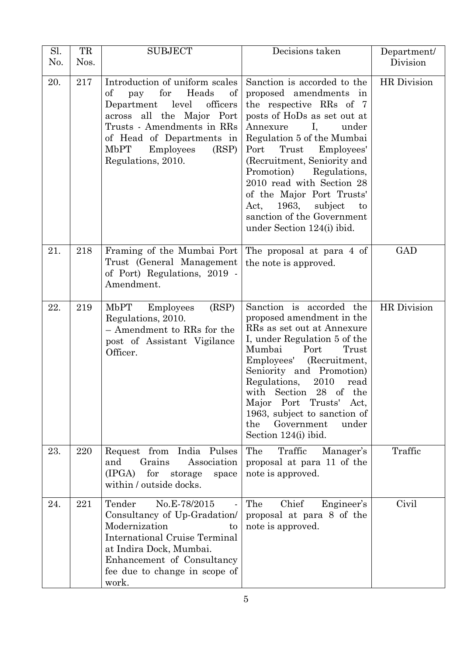| Sl.<br>No. | TR<br>Nos. | <b>SUBJECT</b>                                                                                                                                                                                                                             | Decisions taken                                                                                                                                                                                                                                                                                                                                                                                                            | Department/<br>Division |
|------------|------------|--------------------------------------------------------------------------------------------------------------------------------------------------------------------------------------------------------------------------------------------|----------------------------------------------------------------------------------------------------------------------------------------------------------------------------------------------------------------------------------------------------------------------------------------------------------------------------------------------------------------------------------------------------------------------------|-------------------------|
| 20.        | 217        | Introduction of uniform scales<br>for<br>Heads<br>of<br>of<br>pay<br>Department level officers<br>across all the Major Port<br>Trusts - Amendments in RRs<br>of Head of Departments in<br>MbPT<br>Employees<br>(RSP)<br>Regulations, 2010. | Sanction is accorded to the<br>proposed amendments in<br>the respective RRs of 7<br>posts of HoDs as set out at<br>Annexure<br>Ι,<br>under<br>Regulation 5 of the Mumbai<br>Port Trust Employees'<br>(Recruitment, Seniority and<br>Promotion)<br>Regulations,<br>2010 read with Section 28<br>of the Major Port Trusts'<br>Act, 1963, subject<br>$\mathbf{t}$<br>sanction of the Government<br>under Section 124(i) ibid. | HR Division             |
| 21.        | 218        | Framing of the Mumbai Port<br>Trust (General Management)<br>of Port) Regulations, 2019 -<br>Amendment.                                                                                                                                     | The proposal at para 4 of<br>the note is approved.                                                                                                                                                                                                                                                                                                                                                                         | GAD                     |
| 22.        | 219        | MbPT Employees<br>(RSP)<br>Regulations, 2010.<br>- Amendment to RRs for the<br>post of Assistant Vigilance<br>Officer.                                                                                                                     | Sanction is accorded the<br>proposed amendment in the<br>RRs as set out at Annexure<br>I, under Regulation 5 of the<br>Port<br>Mumbai<br>Trust<br>Employees' (Recruitment,<br>Seniority and Promotion)<br>Regulations, 2010<br>read<br>with Section 28 of the<br>Port<br>Trusts'<br>Major<br>Act,<br>1963, subject to sanction of<br>the<br>Government<br>under<br>Section 124(i) ibid.                                    | HR Division             |
| 23.        | 220        | Request from<br>India Pulses<br>Grains<br>and<br>Association<br>(IPGA)<br>for<br>storage<br>space<br>within / outside docks.                                                                                                               | The<br>Traffic<br>Manager's<br>proposal at para 11 of the<br>note is approved.                                                                                                                                                                                                                                                                                                                                             | Traffic                 |
| 24.        | 221        | Tender<br>No.E-78/2015<br>Consultancy of Up-Gradation/<br>Modernization<br>to<br><b>International Cruise Terminal</b><br>at Indira Dock, Mumbai.<br>Enhancement of Consultancy<br>fee due to change in scope of<br>work.                   | Chief<br>The<br>Engineer's<br>proposal at para 8 of the<br>note is approved.                                                                                                                                                                                                                                                                                                                                               | Civil                   |